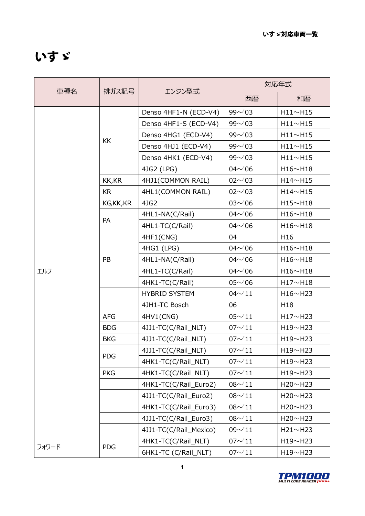## いすゞ

| 車種名   | 排ガス記号      | エンジン型式                 | 対応年式            |                 |
|-------|------------|------------------------|-----------------|-----------------|
|       |            |                        | 西暦              | 和暦              |
| エルフ   | <b>KK</b>  | Denso 4HF1-N (ECD-V4)  | $99^{\sim}$ '03 | H11~~H15        |
|       |            | Denso 4HF1-S (ECD-V4)  | $99^{\sim}$ '03 | H11~~H15        |
|       |            | Denso 4HG1 (ECD-V4)    | $99^{\sim}$ '03 | H11~~H15        |
|       |            | Denso 4HJ1 (ECD-V4)    | $99^{\sim}$ '03 | H11~~H15        |
|       |            | Denso 4HK1 (ECD-V4)    | $99^{\sim}$ '03 | H11~~H15        |
|       |            | 4JG2 (LPG)             | $04^{\sim}$ '06 | H16~H18         |
|       | KK, KR     | 4HJ1(COMMON RAIL)      | $02^{\sim}$ '03 | H14~H15         |
|       | <b>KR</b>  | 4HL1(COMMON RAIL)      | $02^{\sim}$ '03 | H14~H15         |
|       | KGKK, KR   | 4JG2                   | $03^{\sim}$ '06 | H15~H18         |
|       | PA         | 4HL1-NA(C/Rail)        | $04^{\sim}$ '06 | H16~H18         |
|       |            | 4HL1-TC(C/Rail)        | $04^{\sim}$ '06 | H16~H18         |
|       | PB         | 4HF1(CNG)              | 04              | H16             |
|       |            | 4HG1 (LPG)             | $04^{\sim}$ '06 | H16~H18         |
|       |            | 4HL1-NA(C/Rail)        | $04^{\sim}$ '06 | H16~H18         |
|       |            | 4HL1-TC(C/Rail)        | $04^{\sim}$ '06 | H16~H18         |
|       |            | 4HK1-TC(C/Rail)        | $05^{\sim}$ '06 | H17~H18         |
|       |            | <b>HYBRID SYSTEM</b>   | $04 \sim 11$    | H16~H23         |
|       |            | 4JH1-TC Bosch          | 06              | H <sub>18</sub> |
|       | <b>AFG</b> | 4HV1(CNG)              | $05 \sim 11$    | H17~H23         |
|       | <b>BDG</b> | 4JJ1-TC(C/Rail_NLT)    | $07 \sim 11$    | H19~H23         |
|       | <b>BKG</b> | 4JJ1-TC(C/Rail_NLT)    | $07 \sim 11$    | H19~H23         |
|       | <b>PDG</b> | 4JJ1-TC(C/Rail_NLT)    | $07 \sim 11$    | H19~H23         |
|       |            | 4HK1-TC(C/Rail_NLT)    | $07 \sim 11$    | H19~H23         |
|       | <b>PKG</b> | 4HK1-TC(C/Rail_NLT)    | $07 \sim 11$    | H19~H23         |
|       |            | 4HK1-TC(C/Rail_Euro2)  | $08^{\sim}11$   | H20~H23         |
|       |            | 4JJ1-TC(C/Rail_Euro2)  | $08^{\sim}11$   | $H20 \sim H23$  |
|       |            | 4HK1-TC(C/Rail_Euro3)  | $08^{\sim}11$   | H20~H23         |
|       |            | 4JJ1-TC(C/Rail_Euro3)  | $08^{\sim}11$   | H20~H23         |
|       |            | 4JJ1-TC(C/Rail_Mexico) | $09^{\sim}11$   | H21~H23         |
| フォワード | <b>PDG</b> | 4HK1-TC(C/Rail_NLT)    | $07 \sim 11$    | H19~H23         |
|       |            | 6HK1-TC (C/Rail_NLT)   | $07 \sim 11$    | H19~H23         |